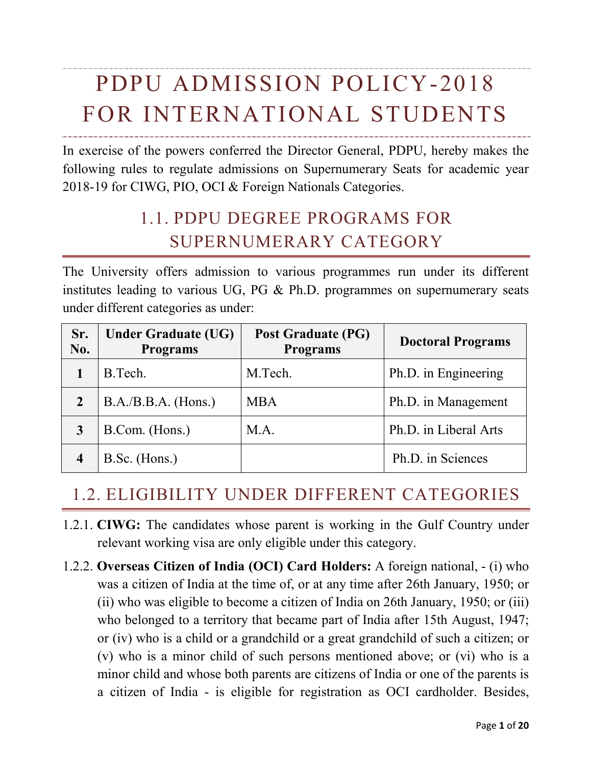# PDPU ADMISSION POLICY-2018 FOR INTERNATIONAL STUDENTS

In exercise of the powers conferred the Director General, PDPU, hereby makes the following rules to regulate admissions on Supernumerary Seats for academic year 2018-19 for CIWG, PIO, OCI & Foreign Nationals Categories.

# 1.1. PDPU DEGREE PROGRAMS FOR SUPERNUMERARY CATEGORY

The University offers admission to various programmes run under its different institutes leading to various UG, PG & Ph.D. programmes on supernumerary seats under different categories as under:

| Sr.<br>No.              | <b>Under Graduate (UG)</b><br><b>Programs</b> | <b>Post Graduate (PG)</b><br><b>Programs</b> | <b>Doctoral Programs</b> |
|-------------------------|-----------------------------------------------|----------------------------------------------|--------------------------|
|                         | B.Tech.                                       | M.Tech.                                      | Ph.D. in Engineering     |
| $\overline{2}$          | $B.A./B.B.A.$ (Hons.)                         | <b>MBA</b>                                   | Ph.D. in Management      |
| 3                       | B.Com. (Hons.)                                | M.A.                                         | Ph.D. in Liberal Arts    |
| $\overline{\mathbf{4}}$ | B.Sc. (Hons.)                                 |                                              | Ph.D. in Sciences        |

### 1.2. ELIGIBILITY UNDER DIFFERENT CATEGORIES

- 1.2.1. **CIWG:** The candidates whose parent is working in the Gulf Country under relevant working visa are only eligible under this category.
- 1.2.2. **Overseas Citizen of India (OCI) Card Holders:** A foreign national, (i) who was a citizen of India at the time of, or at any time after 26th January, 1950; or (ii) who was eligible to become a citizen of India on 26th January, 1950; or (iii) who belonged to a territory that became part of India after 15th August, 1947; or (iv) who is a child or a grandchild or a great grandchild of such a citizen; or (v) who is a minor child of such persons mentioned above; or (vi) who is a minor child and whose both parents are citizens of India or one of the parents is a citizen of India - is eligible for registration as OCI cardholder. Besides,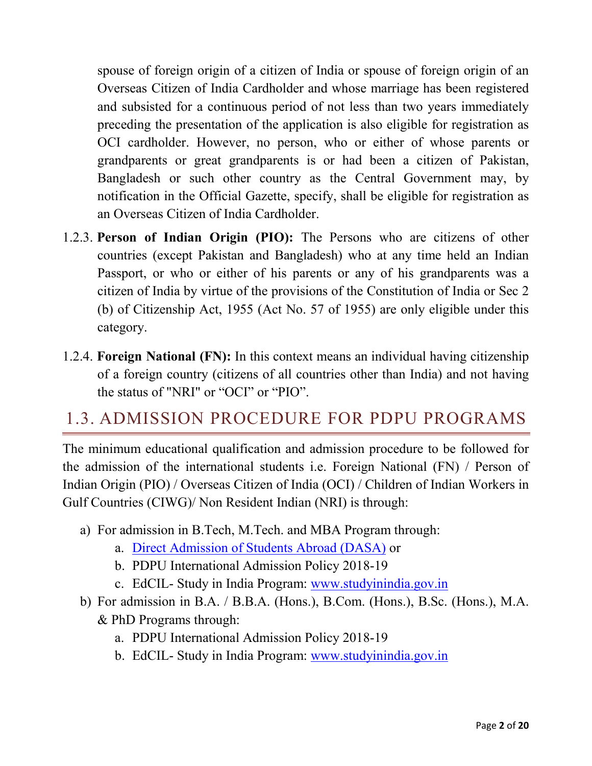spouse of foreign origin of a citizen of India or spouse of foreign origin of an Overseas Citizen of India Cardholder and whose marriage has been registered and subsisted for a continuous period of not less than two years immediately preceding the presentation of the application is also eligible for registration as OCI cardholder. However, no person, who or either of whose parents or grandparents or great grandparents is or had been a citizen of Pakistan, Bangladesh or such other country as the Central Government may, by notification in the Official Gazette, specify, shall be eligible for registration as an Overseas Citizen of India Cardholder.

- 1.2.3. **Person of Indian Origin (PIO):** The Persons who are citizens of other countries (except Pakistan and Bangladesh) who at any time held an Indian Passport, or who or either of his parents or any of his grandparents was a citizen of India by virtue of the provisions of the Constitution of India or Sec 2 (b) of Citizenship Act, 1955 (Act No. 57 of 1955) are only eligible under this category.
- 1.2.4. **Foreign National (FN):** In this context means an individual having citizenship of a foreign country (citizens of all countries other than India) and not having the status of "NRI" or "OCI" or "PIO".

### 1.3. ADMISSION PROCEDURE FOR PDPU PROGRAMS

The minimum educational qualification and admission procedure to be followed for the admission of the international students i.e. Foreign National (FN) / Person of Indian Origin (PIO) / Overseas Citizen of India (OCI) / Children of Indian Workers in Gulf Countries (CIWG)/ Non Resident Indian (NRI) is through:

- a) For admission in B.Tech, M.Tech. and MBA Program through:
	- a. [Direct Admission of Students Abroad \(DASA\)](https://www.dasanit.org/) or
	- b. PDPU International Admission Policy 2018-19
	- c. EdCIL- Study in India Program: [www.studyinindia.gov.in](http://www.studyinindia.gov.in/)
- b) For admission in B.A. / B.B.A. (Hons.), B.Com. (Hons.), B.Sc. (Hons.), M.A. & PhD Programs through:
	- a. PDPU International Admission Policy 2018-19
	- b. EdCIL- Study in India Program: [www.studyinindia.gov.in](http://www.studyinindia.gov.in/)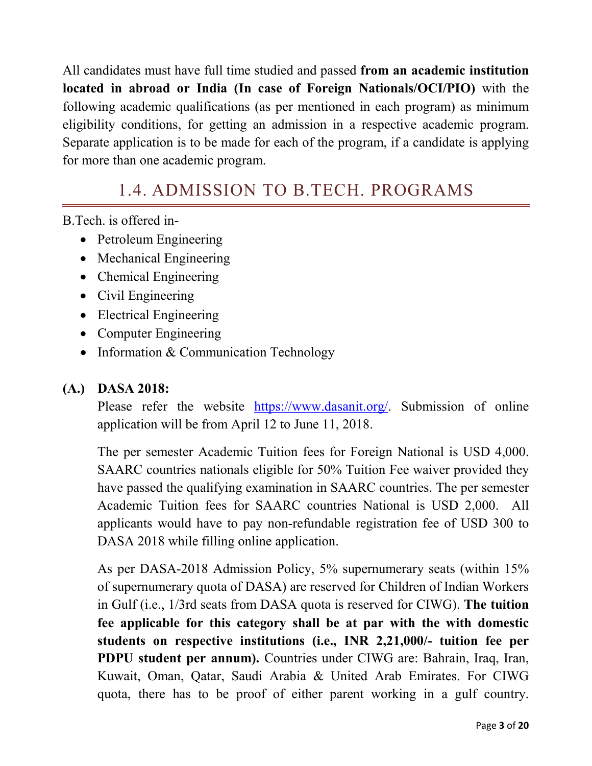All candidates must have full time studied and passed **from an academic institution located in abroad or India (In case of Foreign Nationals/OCI/PIO)** with the following academic qualifications (as per mentioned in each program) as minimum eligibility conditions, for getting an admission in a respective academic program. Separate application is to be made for each of the program, if a candidate is applying for more than one academic program.

# 1.4. ADMISSION TO B.TECH. PROGRAMS

B.Tech. is offered in-

- Petroleum Engineering
- Mechanical Engineering
- Chemical Engineering
- Civil Engineering
- Electrical Engineering
- Computer Engineering
- Information & Communication Technology

#### **(A.) DASA 2018:**

Please refer the website [https://www.dasanit.org/.](https://www.dasanit.org/) Submission of online application will be from April 12 to June 11, 2018.

The per semester Academic Tuition fees for Foreign National is USD 4,000. SAARC countries nationals eligible for 50% Tuition Fee waiver provided they have passed the qualifying examination in SAARC countries. The per semester Academic Tuition fees for SAARC countries National is USD 2,000. All applicants would have to pay non-refundable registration fee of USD 300 to DASA 2018 while filling online application.

As per DASA-2018 Admission Policy, 5% supernumerary seats (within 15% of supernumerary quota of DASA) are reserved for Children of Indian Workers in Gulf (i.e., 1/3rd seats from DASA quota is reserved for CIWG). **The tuition fee applicable for this category shall be at par with the with domestic students on respective institutions (i.e., INR 2,21,000/- tuition fee per PDPU student per annum).** Countries under CIWG are: Bahrain, Iraq, Iran, Kuwait, Oman, Qatar, Saudi Arabia & United Arab Emirates. For CIWG quota, there has to be proof of either parent working in a gulf country.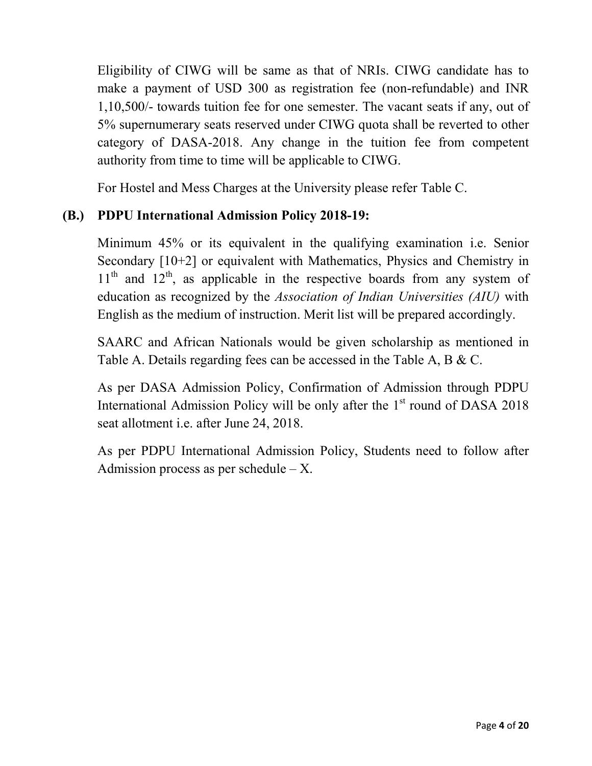Eligibility of CIWG will be same as that of NRIs. CIWG candidate has to make a payment of USD 300 as registration fee (non-refundable) and INR 1,10,500/- towards tuition fee for one semester. The vacant seats if any, out of 5% supernumerary seats reserved under CIWG quota shall be reverted to other category of DASA-2018. Any change in the tuition fee from competent authority from time to time will be applicable to CIWG.

For Hostel and Mess Charges at the University please refer Table C.

### **(B.) PDPU International Admission Policy 2018-19:**

Minimum 45% or its equivalent in the qualifying examination i.e. Senior Secondary [10+2] or equivalent with Mathematics, Physics and Chemistry in  $11<sup>th</sup>$  and  $12<sup>th</sup>$ , as applicable in the respective boards from any system of education as recognized by the *Association of Indian Universities (AIU)* with English as the medium of instruction. Merit list will be prepared accordingly.

SAARC and African Nationals would be given scholarship as mentioned in Table A. Details regarding fees can be accessed in the Table A, B & C.

As per DASA Admission Policy, Confirmation of Admission through PDPU International Admission Policy will be only after the  $1<sup>st</sup>$  round of DASA 2018 seat allotment i.e. after June 24, 2018.

As per PDPU International Admission Policy, Students need to follow after Admission process as per schedule  $-X$ .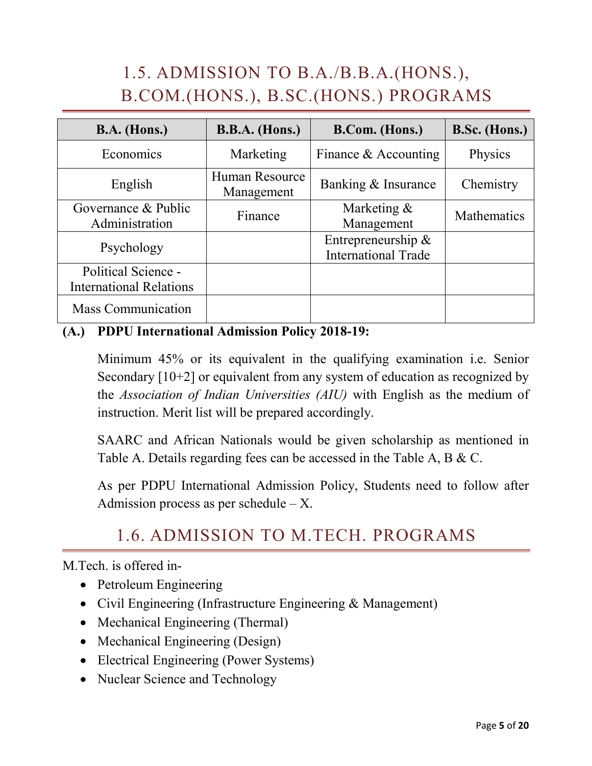# 1.5. ADMISSION TO B.A./B.B.A.(HONS.), B.COM.(HONS.), B.SC.(HONS.) PROGRAMS

| $B.A.$ (Hons.)                                        | <b>B.B.A.</b> (Hons.)        | B.Com. (Hons.)                                      | B.Sc. (Hons.)      |
|-------------------------------------------------------|------------------------------|-----------------------------------------------------|--------------------|
| Economics                                             | Marketing                    | Finance $&$ Accounting                              | Physics            |
| English                                               | Human Resource<br>Management | Banking & Insurance                                 | Chemistry          |
| Governance & Public<br>Administration                 | Finance                      | Marketing $\&$<br>Management                        | <b>Mathematics</b> |
| Psychology                                            |                              | Entrepreneurship $\&$<br><b>International Trade</b> |                    |
| Political Science -<br><b>International Relations</b> |                              |                                                     |                    |
| <b>Mass Communication</b>                             |                              |                                                     |                    |

### **(A.) PDPU International Admission Policy 2018-19:**

Minimum 45% or its equivalent in the qualifying examination i.e. Senior Secondary [10+2] or equivalent from any system of education as recognized by the *Association of Indian Universities (AIU)* with English as the medium of instruction. Merit list will be prepared accordingly.

SAARC and African Nationals would be given scholarship as mentioned in Table A. Details regarding fees can be accessed in the Table A, B & C.

As per PDPU International Admission Policy, Students need to follow after Admission process as per schedule  $- X$ .

### 1.6. ADMISSION TO M.TECH. PROGRAMS

M.Tech. is offered in-

- Petroleum Engineering
- Civil Engineering (Infrastructure Engineering & Management)
- Mechanical Engineering (Thermal)
- Mechanical Engineering (Design)
- Electrical Engineering (Power Systems)
- Nuclear Science and Technology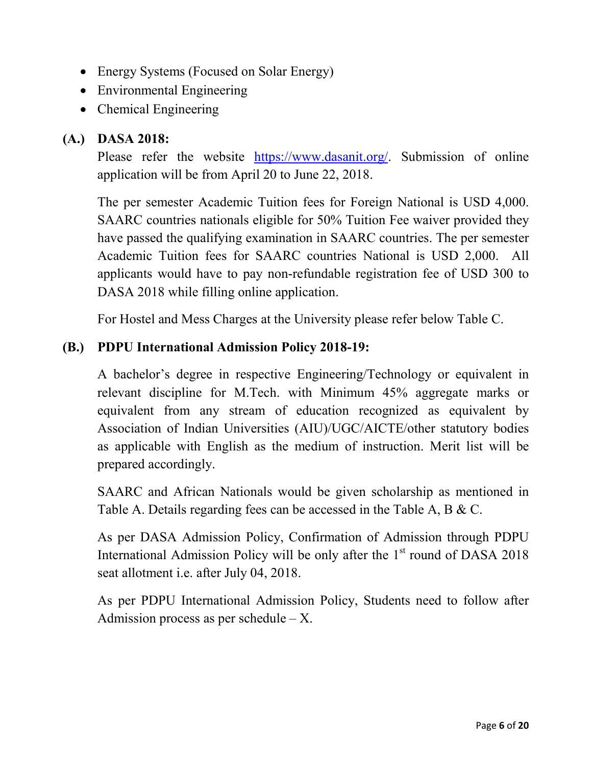- Energy Systems (Focused on Solar Energy)
- Environmental Engineering
- Chemical Engineering

### **(A.) DASA 2018:**

Please refer the website [https://www.dasanit.org/.](https://www.dasanit.org/) Submission of online application will be from April 20 to June 22, 2018.

The per semester Academic Tuition fees for Foreign National is USD 4,000. SAARC countries nationals eligible for 50% Tuition Fee waiver provided they have passed the qualifying examination in SAARC countries. The per semester Academic Tuition fees for SAARC countries National is USD 2,000. All applicants would have to pay non-refundable registration fee of USD 300 to DASA 2018 while filling online application.

For Hostel and Mess Charges at the University please refer below Table C.

### **(B.) PDPU International Admission Policy 2018-19:**

A bachelor's degree in respective Engineering/Technology or equivalent in relevant discipline for M.Tech. with Minimum 45% aggregate marks or equivalent from any stream of education recognized as equivalent by Association of Indian Universities (AIU)/UGC/AICTE/other statutory bodies as applicable with English as the medium of instruction. Merit list will be prepared accordingly.

SAARC and African Nationals would be given scholarship as mentioned in Table A. Details regarding fees can be accessed in the Table A, B & C.

As per DASA Admission Policy, Confirmation of Admission through PDPU International Admission Policy will be only after the  $1<sup>st</sup>$  round of DASA 2018 seat allotment i.e. after July 04, 2018.

As per PDPU International Admission Policy, Students need to follow after Admission process as per schedule – X.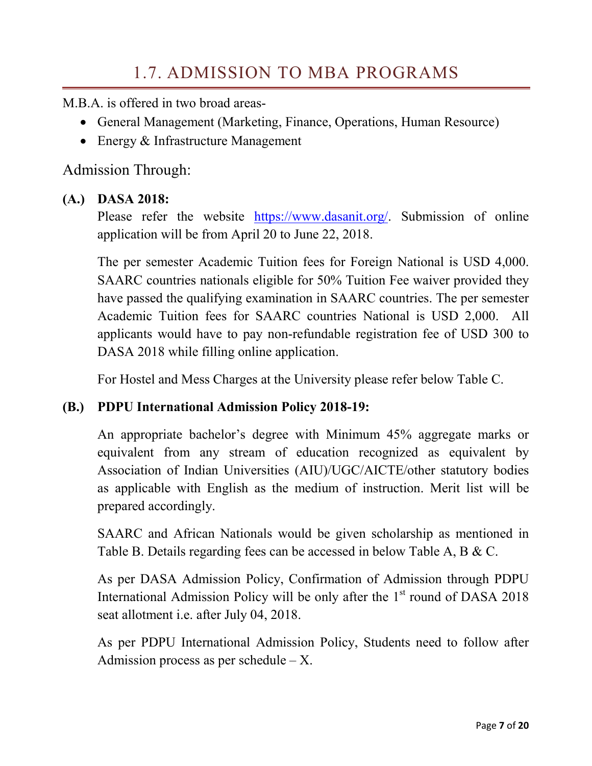M<sub>B</sub>A is offered in two broad areas-

- General Management (Marketing, Finance, Operations, Human Resource)
- Energy & Infrastructure Management

Admission Through:

#### **(A.) DASA 2018:**

Please refer the website [https://www.dasanit.org/.](https://www.dasanit.org/) Submission of online application will be from April 20 to June 22, 2018.

The per semester Academic Tuition fees for Foreign National is USD 4,000. SAARC countries nationals eligible for 50% Tuition Fee waiver provided they have passed the qualifying examination in SAARC countries. The per semester Academic Tuition fees for SAARC countries National is USD 2,000. All applicants would have to pay non-refundable registration fee of USD 300 to DASA 2018 while filling online application.

For Hostel and Mess Charges at the University please refer below Table C.

#### **(B.) PDPU International Admission Policy 2018-19:**

An appropriate bachelor's degree with Minimum 45% aggregate marks or equivalent from any stream of education recognized as equivalent by Association of Indian Universities (AIU)/UGC/AICTE/other statutory bodies as applicable with English as the medium of instruction. Merit list will be prepared accordingly.

SAARC and African Nationals would be given scholarship as mentioned in Table B. Details regarding fees can be accessed in below Table A, B & C.

As per DASA Admission Policy, Confirmation of Admission through PDPU International Admission Policy will be only after the  $1<sup>st</sup>$  round of DASA 2018 seat allotment i.e. after July 04, 2018.

As per PDPU International Admission Policy, Students need to follow after Admission process as per schedule  $- X$ .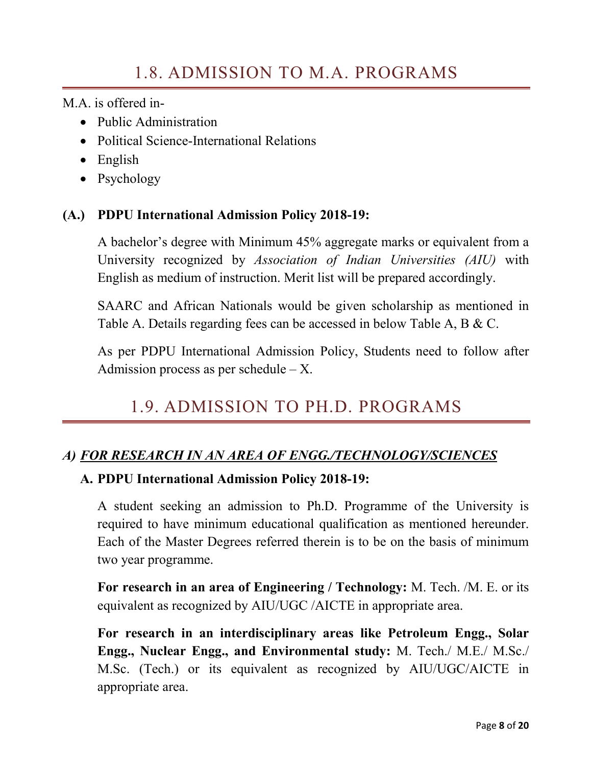M.A. is offered in-

- Public Administration
- Political Science-International Relations
- English
- Psychology

### **(A.) PDPU International Admission Policy 2018-19:**

A bachelor's degree with Minimum 45% aggregate marks or equivalent from a University recognized by *Association of Indian Universities (AIU)* with English as medium of instruction. Merit list will be prepared accordingly.

SAARC and African Nationals would be given scholarship as mentioned in Table A. Details regarding fees can be accessed in below Table A, B & C.

As per PDPU International Admission Policy, Students need to follow after Admission process as per schedule  $-X$ .

# 1.9. ADMISSION TO PH.D. PROGRAMS

### *A) FOR RESEARCH IN AN AREA OF ENGG./TECHNOLOGY/SCIENCES*

#### **A. PDPU International Admission Policy 2018-19:**

A student seeking an admission to Ph.D. Programme of the University is required to have minimum educational qualification as mentioned hereunder. Each of the Master Degrees referred therein is to be on the basis of minimum two year programme.

**For research in an area of Engineering / Technology:** M. Tech. /M. E. or its equivalent as recognized by AIU/UGC /AICTE in appropriate area.

**For research in an interdisciplinary areas like Petroleum Engg., Solar Engg., Nuclear Engg., and Environmental study:** M. Tech./ M.E./ M.Sc./ M.Sc. (Tech.) or its equivalent as recognized by AIU/UGC/AICTE in appropriate area.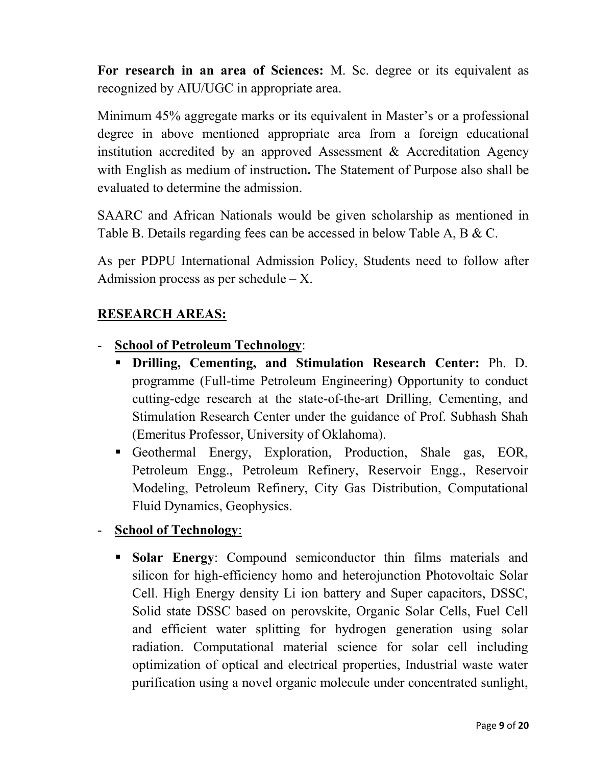**For research in an area of Sciences:** M. Sc. degree or its equivalent as recognized by AIU/UGC in appropriate area.

Minimum 45% aggregate marks or its equivalent in Master's or a professional degree in above mentioned appropriate area from a foreign educational institution accredited by an approved Assessment & Accreditation Agency with English as medium of instruction**.** The Statement of Purpose also shall be evaluated to determine the admission.

SAARC and African Nationals would be given scholarship as mentioned in Table B. Details regarding fees can be accessed in below Table A, B & C.

As per PDPU International Admission Policy, Students need to follow after Admission process as per schedule  $- X$ .

#### **RESEARCH AREAS:**

#### - **School of Petroleum Technology**:

- **Drilling, Cementing, and Stimulation Research Center:** Ph. D. programme (Full-time Petroleum Engineering) Opportunity to conduct cutting-edge research at the state-of-the-art Drilling, Cementing, and Stimulation Research Center under the guidance of Prof. Subhash Shah (Emeritus Professor, University of Oklahoma).
- Geothermal Energy, Exploration, Production, Shale gas, EOR, Petroleum Engg., Petroleum Refinery, Reservoir Engg., Reservoir Modeling, Petroleum Refinery, City Gas Distribution, Computational Fluid Dynamics, Geophysics.

#### - **School of Technology**:

 **Solar Energy**: Compound semiconductor thin films materials and silicon for high-efficiency homo and heterojunction Photovoltaic Solar Cell. High Energy density Li ion battery and Super capacitors, DSSC, Solid state DSSC based on perovskite, Organic Solar Cells, Fuel Cell and efficient water splitting for hydrogen generation using solar radiation. Computational material science for solar cell including optimization of optical and electrical properties, Industrial waste water purification using a novel organic molecule under concentrated sunlight,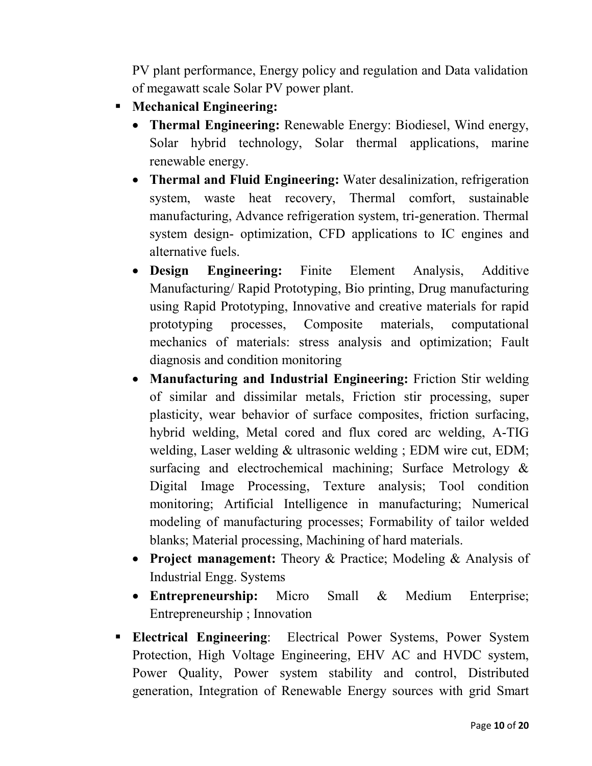PV plant performance, Energy policy and regulation and Data validation of megawatt scale Solar PV power plant.

- **Mechanical Engineering:**
	- **Thermal Engineering:** Renewable Energy: Biodiesel, Wind energy, Solar hybrid technology, Solar thermal applications, marine renewable energy.
	- **Thermal and Fluid Engineering:** Water desalinization, refrigeration system, waste heat recovery, Thermal comfort, sustainable manufacturing, Advance refrigeration system, tri-generation. Thermal system design- optimization, CFD applications to IC engines and alternative fuels.
	- **Design Engineering:** Finite Element Analysis, Additive Manufacturing/ Rapid Prototyping, Bio printing, Drug manufacturing using Rapid Prototyping, Innovative and creative materials for rapid prototyping processes, Composite materials, computational mechanics of materials: stress analysis and optimization; Fault diagnosis and condition monitoring
	- **Manufacturing and Industrial Engineering:** Friction Stir welding of similar and dissimilar metals, Friction stir processing, super plasticity, wear behavior of surface composites, friction surfacing, hybrid welding, Metal cored and flux cored arc welding, A-TIG welding, Laser welding & ultrasonic welding ; EDM wire cut, EDM; surfacing and electrochemical machining; Surface Metrology & Digital Image Processing, Texture analysis; Tool condition monitoring; Artificial Intelligence in manufacturing; Numerical modeling of manufacturing processes; Formability of tailor welded blanks; Material processing, Machining of hard materials.
	- **Project management:** Theory & Practice; Modeling & Analysis of Industrial Engg. Systems
	- **Entrepreneurship:** Micro Small & Medium Enterprise; Entrepreneurship ; Innovation
- **Electrical Engineering**: Electrical Power Systems, Power System Protection, High Voltage Engineering, EHV AC and HVDC system, Power Quality, Power system stability and control, Distributed generation, Integration of Renewable Energy sources with grid Smart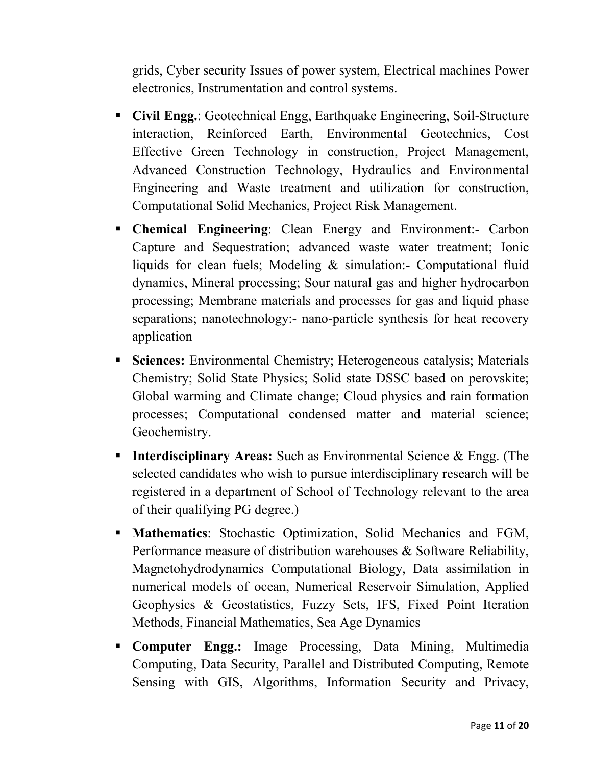grids, Cyber security Issues of power system, Electrical machines Power electronics, Instrumentation and control systems.

- **Civil Engg.**: Geotechnical Engg, Earthquake Engineering, Soil-Structure interaction, Reinforced Earth, Environmental Geotechnics, Cost Effective Green Technology in construction, Project Management, Advanced Construction Technology, Hydraulics and Environmental Engineering and Waste treatment and utilization for construction, Computational Solid Mechanics, Project Risk Management.
- **Chemical Engineering**: Clean Energy and Environment:- Carbon Capture and Sequestration; advanced waste water treatment; Ionic liquids for clean fuels; Modeling & simulation:- Computational fluid dynamics, Mineral processing; Sour natural gas and higher hydrocarbon processing; Membrane materials and processes for gas and liquid phase separations; nanotechnology:- nano-particle synthesis for heat recovery application
- **Sciences:** Environmental Chemistry; Heterogeneous catalysis; Materials Chemistry; Solid State Physics; Solid state DSSC based on perovskite; Global warming and Climate change; Cloud physics and rain formation processes; Computational condensed matter and material science; Geochemistry.
- **Interdisciplinary Areas:** Such as Environmental Science & Engg. (The selected candidates who wish to pursue interdisciplinary research will be registered in a department of School of Technology relevant to the area of their qualifying PG degree.)
- **Mathematics**: Stochastic Optimization, Solid Mechanics and FGM, Performance measure of distribution warehouses & Software Reliability, Magnetohydrodynamics Computational Biology, Data assimilation in numerical models of ocean, Numerical Reservoir Simulation, Applied Geophysics & Geostatistics, Fuzzy Sets, IFS, Fixed Point Iteration Methods, Financial Mathematics, Sea Age Dynamics
- **Computer Engg.:** Image Processing, Data Mining, Multimedia Computing, Data Security, Parallel and Distributed Computing, Remote Sensing with GIS, Algorithms, Information Security and Privacy,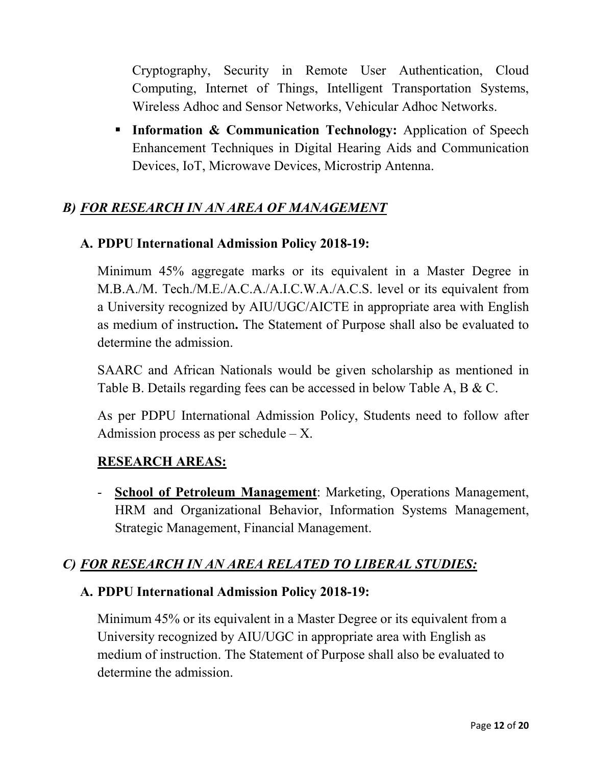Cryptography, Security in Remote User Authentication, Cloud Computing, Internet of Things, Intelligent Transportation Systems, Wireless Adhoc and Sensor Networks, Vehicular Adhoc Networks.

**Information & Communication Technology:** Application of Speech Enhancement Techniques in Digital Hearing Aids and Communication Devices, IoT, Microwave Devices, Microstrip Antenna.

### *B) FOR RESEARCH IN AN AREA OF MANAGEMENT*

#### **A. PDPU International Admission Policy 2018-19:**

Minimum 45% aggregate marks or its equivalent in a Master Degree in M.B.A./M. Tech./M.E./A.C.A./A.I.C.W.A./A.C.S. level or its equivalent from a University recognized by AIU/UGC/AICTE in appropriate area with English as medium of instruction**.** The Statement of Purpose shall also be evaluated to determine the admission.

SAARC and African Nationals would be given scholarship as mentioned in Table B. Details regarding fees can be accessed in below Table A, B & C.

As per PDPU International Admission Policy, Students need to follow after Admission process as per schedule  $- X$ .

#### **RESEARCH AREAS:**

- **School of Petroleum Management**: Marketing, Operations Management, HRM and Organizational Behavior, Information Systems Management, Strategic Management, Financial Management.

#### *C) FOR RESEARCH IN AN AREA RELATED TO LIBERAL STUDIES:*

#### **A. PDPU International Admission Policy 2018-19:**

Minimum 45% or its equivalent in a Master Degree or its equivalent from a University recognized by AIU/UGC in appropriate area with English as medium of instruction. The Statement of Purpose shall also be evaluated to determine the admission.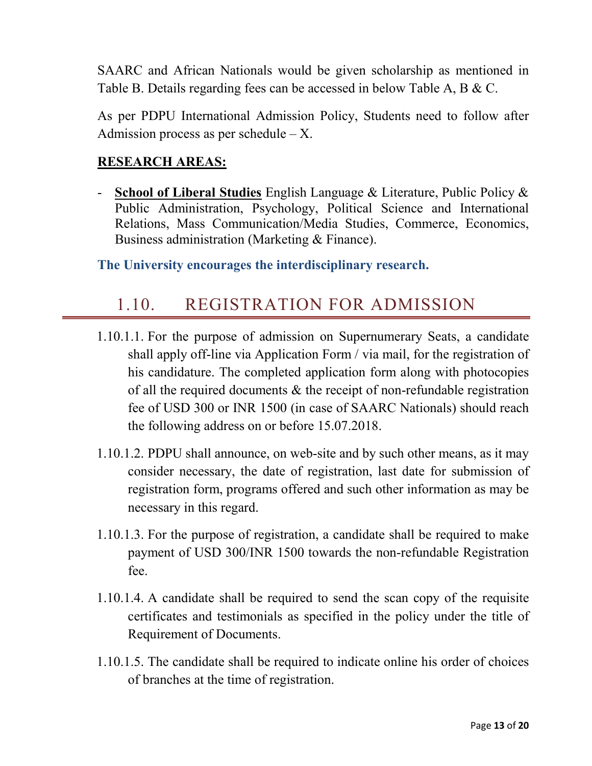SAARC and African Nationals would be given scholarship as mentioned in Table B. Details regarding fees can be accessed in below Table A, B & C.

As per PDPU International Admission Policy, Students need to follow after Admission process as per schedule  $-X$ .

#### **RESEARCH AREAS:**

- **School of Liberal Studies** English Language & Literature, Public Policy & Public Administration, Psychology, Political Science and International Relations, Mass Communication/Media Studies, Commerce, Economics, Business administration (Marketing & Finance).

#### **The University encourages the interdisciplinary research.**

### 1.10. REGISTRATION FOR ADMISSION

- 1.10.1.1. For the purpose of admission on Supernumerary Seats, a candidate shall apply off-line via Application Form / via mail, for the registration of his candidature. The completed application form along with photocopies of all the required documents & the receipt of non-refundable registration fee of USD 300 or INR 1500 (in case of SAARC Nationals) should reach the following address on or before 15.07.2018.
- 1.10.1.2. PDPU shall announce, on web-site and by such other means, as it may consider necessary, the date of registration, last date for submission of registration form, programs offered and such other information as may be necessary in this regard.
- 1.10.1.3. For the purpose of registration, a candidate shall be required to make payment of USD 300/INR 1500 towards the non-refundable Registration fee.
- 1.10.1.4. A candidate shall be required to send the scan copy of the requisite certificates and testimonials as specified in the policy under the title of Requirement of Documents.
- 1.10.1.5. The candidate shall be required to indicate online his order of choices of branches at the time of registration.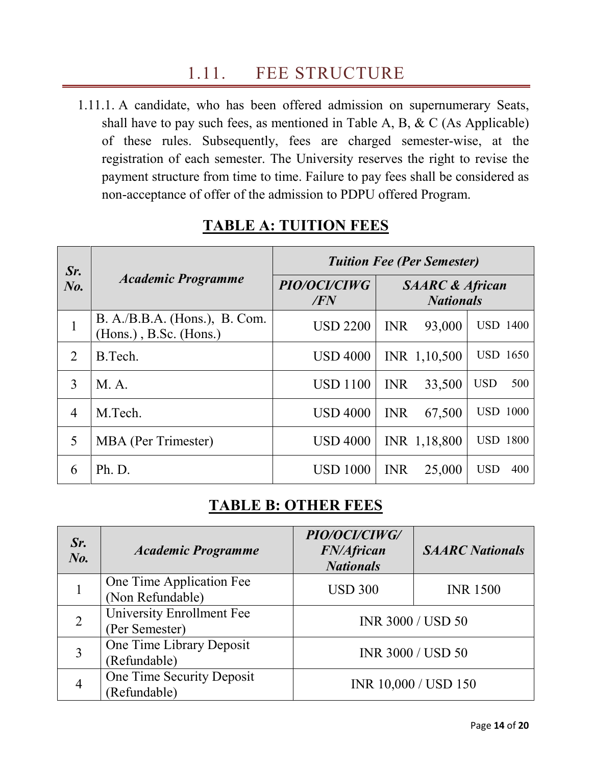# 1.11. FEE STRUCTURE

1.11.1. A candidate, who has been offered admission on supernumerary Seats, shall have to pay such fees, as mentioned in Table A, B, & C (As Applicable) of these rules. Subsequently, fees are charged semester-wise, at the registration of each semester. The University reserves the right to revise the payment structure from time to time. Failure to pay fees shall be considered as non-acceptance of offer of the admission to PDPU offered Program.

| Sr.<br>$N_{0}$ . | <b>Academic Programme</b>                                   | <b>Tuition Fee (Per Semester)</b> |                                                |  |
|------------------|-------------------------------------------------------------|-----------------------------------|------------------------------------------------|--|
|                  |                                                             | PIO/OCI/CIWG<br>/FN               | <b>SAARC &amp; African</b><br><b>Nationals</b> |  |
| 1                | $B. A./B.B.A.$ (Hons.), $B. Com.$<br>(Hons.), B.Sc. (Hons.) | <b>USD 2200</b>                   | <b>USD 1400</b><br>93,000<br><b>INR</b>        |  |
| $\overline{2}$   | B.Tech.                                                     | <b>USD 4000</b>                   | <b>USD 1650</b><br>INR 1,10,500                |  |
| 3                | M. A.                                                       | <b>USD 1100</b>                   | 500<br><b>USD</b><br><b>INR</b><br>33,500      |  |
| $\overline{4}$   | M.Tech.                                                     | <b>USD 4000</b>                   | <b>USD 1000</b><br><b>INR</b><br>67,500        |  |
| 5                | <b>MBA</b> (Per Trimester)                                  | <b>USD 4000</b>                   | <b>USD 1800</b><br>INR 1,18,800                |  |
| 6                | Ph. D.                                                      | <b>USD 1000</b>                   | <b>INR</b><br>25,000<br><b>USD</b><br>400      |  |

### **TABLE A: TUITION FEES**

### **TABLE B: OTHER FEES**

| Sr.<br>$N_{0}$ . | <b>Academic Programme</b>                    | PIO/OCI/CIWG/<br><b>FN/African</b><br><b>Nationals</b> | <b>SAARC</b> Nationals |
|------------------|----------------------------------------------|--------------------------------------------------------|------------------------|
|                  | One Time Application Fee<br>(Non Refundable) | <b>USD 300</b>                                         | <b>INR 1500</b>        |
|                  | University Enrollment Fee<br>(Per Semester)  | <b>INR 3000 / USD 50</b>                               |                        |
|                  | One Time Library Deposit<br>(Refundable)     | <b>INR 3000 / USD 50</b>                               |                        |
| 4                | One Time Security Deposit<br>(Refundable)    | INR 10,000 / USD 150                                   |                        |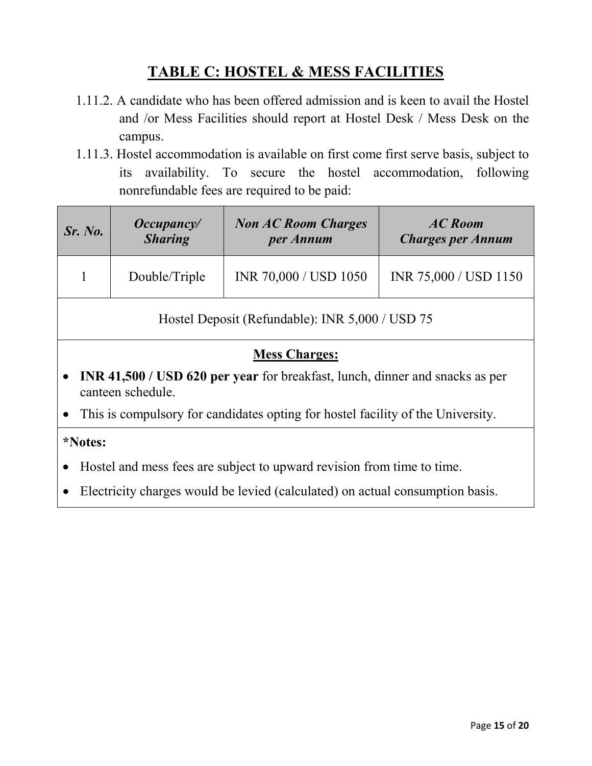### **TABLE C: HOSTEL & MESS FACILITIES**

- 1.11.2. A candidate who has been offered admission and is keen to avail the Hostel and /or Mess Facilities should report at Hostel Desk / Mess Desk on the campus.
- 1.11.3. Hostel accommodation is available on first come first serve basis, subject to its availability. To secure the hostel accommodation, following nonrefundable fees are required to be paid:

| Sr. No.                                                                                                        | Occupancy<br><b>Sharing</b> | <b>Non AC Room Charges</b><br>per Annum | <b>AC</b> Room<br><b>Charges per Annum</b> |  |
|----------------------------------------------------------------------------------------------------------------|-----------------------------|-----------------------------------------|--------------------------------------------|--|
|                                                                                                                | Double/Triple               | INR 70,000 / USD 1050                   | INR 75,000 / USD 1150                      |  |
| Hostel Deposit (Refundable): INR 5,000 / USD 75                                                                |                             |                                         |                                            |  |
|                                                                                                                | <b>Mess Charges:</b>        |                                         |                                            |  |
| INR 41,500 / USD 620 per year for breakfast, lunch, dinner and snacks as per<br>$\bullet$<br>canteen schedule. |                             |                                         |                                            |  |
| This is compulsory for candidates opting for hostel facility of the University.<br>$\bullet$                   |                             |                                         |                                            |  |
| *Notes:                                                                                                        |                             |                                         |                                            |  |
| Hostel and mess fees are subject to upward revision from time to time.                                         |                             |                                         |                                            |  |

• Electricity charges would be levied (calculated) on actual consumption basis.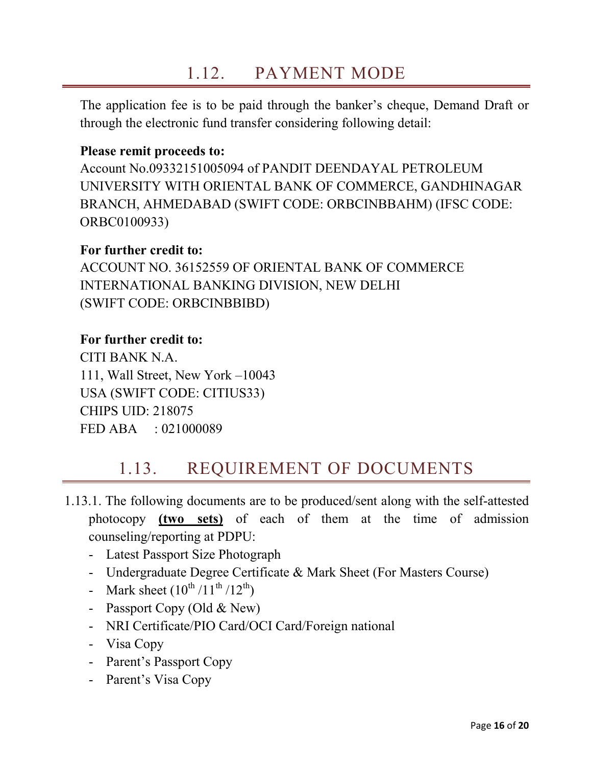# 1.12. PAYMENT MODE

The application fee is to be paid through the banker's cheque, Demand Draft or through the electronic fund transfer considering following detail:

#### **Please remit proceeds to:**

Account No.09332151005094 of PANDIT DEENDAYAL PETROLEUM UNIVERSITY WITH ORIENTAL BANK OF COMMERCE, GANDHINAGAR BRANCH, AHMEDABAD (SWIFT CODE: ORBCINBBAHM) (IFSC CODE: ORBC0100933)

#### **For further credit to:**

ACCOUNT NO. 36152559 OF ORIENTAL BANK OF COMMERCE INTERNATIONAL BANKING DIVISION, NEW DELHI (SWIFT CODE: ORBCINBBIBD)

#### **For further credit to:**

CITI BANK N.A. 111, Wall Street, New York –10043 USA (SWIFT CODE: CITIUS33) CHIPS UID: 218075 FED ABA : 021000089

### 1.13. REQUIREMENT OF DOCUMENTS

- 1.13.1. The following documents are to be produced/sent along with the self-attested photocopy **(two sets)** of each of them at the time of admission counseling/reporting at PDPU:
	- Latest Passport Size Photograph
	- Undergraduate Degree Certificate & Mark Sheet (For Masters Course)
	- Mark sheet  $(10^{th}/11^{th}/12^{th})$
	- Passport Copy (Old & New)
	- NRI Certificate/PIO Card/OCI Card/Foreign national
	- Visa Copy
	- Parent's Passport Copy
	- Parent's Visa Copy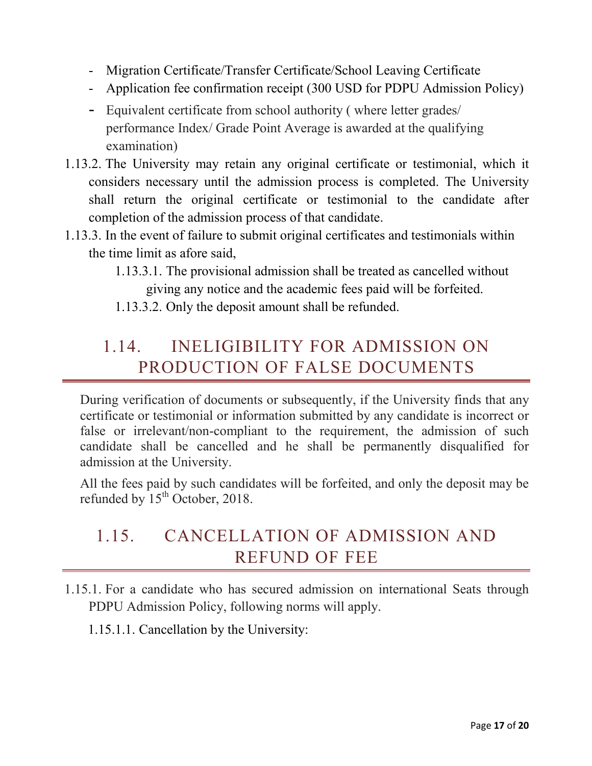- Migration Certificate/Transfer Certificate/School Leaving Certificate
- Application fee confirmation receipt (300 USD for PDPU Admission Policy)
- Equivalent certificate from school authority ( where letter grades/ performance Index/ Grade Point Average is awarded at the qualifying examination)
- 1.13.2. The University may retain any original certificate or testimonial, which it considers necessary until the admission process is completed. The University shall return the original certificate or testimonial to the candidate after completion of the admission process of that candidate.
- 1.13.3. In the event of failure to submit original certificates and testimonials within the time limit as afore said,
	- 1.13.3.1. The provisional admission shall be treated as cancelled without giving any notice and the academic fees paid will be forfeited.
	- 1.13.3.2. Only the deposit amount shall be refunded.

# <span id="page-16-0"></span>1.14. INELIGIBILITY FOR ADMISSION ON PRODUCTION OF FALSE DOCUMENTS

During verification of documents or subsequently, if the University finds that any certificate or testimonial or information submitted by any candidate is incorrect or false or irrelevant/non-compliant to the requirement, the admission of such candidate shall be cancelled and he shall be permanently disqualified for admission at the University.

All the fees paid by such candidates will be forfeited, and only the deposit may be refunded by 15<sup>th</sup> October, 2018.

# 1.15. CANCELLATION OF ADMISSION AND REFUND OF FEE

- 1.15.1. For a candidate who has secured admission on international Seats through PDPU Admission Policy, following norms will apply.
	- 1.15.1.1. Cancellation by the University: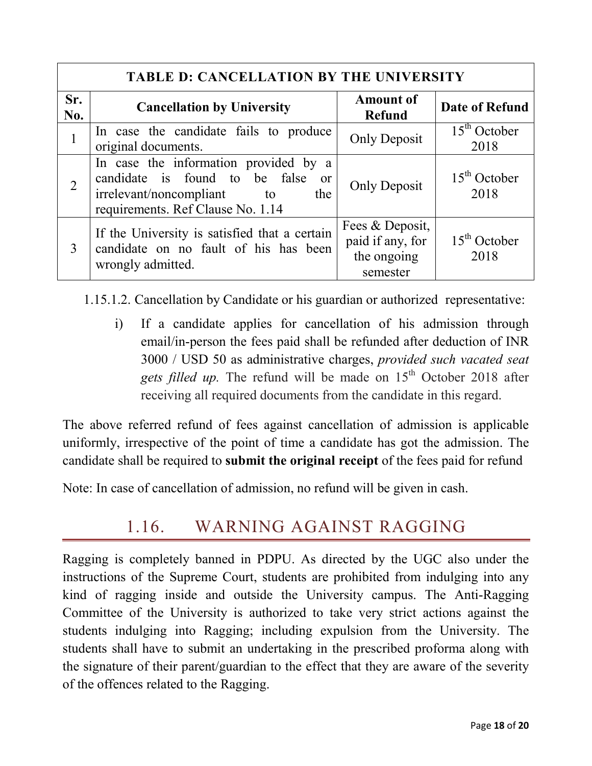| <b>TABLE D: CANCELLATION BY THE UNIVERSITY</b> |                                                                                                                                                            |                                                                |                        |
|------------------------------------------------|------------------------------------------------------------------------------------------------------------------------------------------------------------|----------------------------------------------------------------|------------------------|
| Sr.<br>No.                                     | <b>Cancellation by University</b>                                                                                                                          | <b>Amount of</b><br><b>Refund</b>                              | <b>Date of Refund</b>  |
| $\mathbf{1}$                                   | In case the candidate fails to produce<br>original documents.                                                                                              | <b>Only Deposit</b>                                            | $15th$ October<br>2018 |
| $\overline{2}$                                 | In case the information provided by a<br>candidate is found to be false<br>or<br>irrelevant/noncompliant<br>the<br>to<br>requirements. Ref Clause No. 1.14 | <b>Only Deposit</b>                                            | $15th$ October<br>2018 |
| 3                                              | If the University is satisfied that a certain<br>candidate on no fault of his has been<br>wrongly admitted.                                                | Fees & Deposit,<br>paid if any, for<br>the ongoing<br>semester | $15th$ October<br>2018 |

1.15.1.2. Cancellation by Candidate or his guardian or authorized representative:

i) If a candidate applies for cancellation of his admission through email/in-person the fees paid shall be refunded after deduction of INR 3000 / USD 50 as administrative charges, *provided such vacated seat*  gets filled up. The refund will be made on 15<sup>th</sup> October 2018 after receiving all required documents from the candidate in this regard.

The above referred refund of fees against cancellation of admission is applicable uniformly, irrespective of the point of time a candidate has got the admission. The candidate shall be required to **submit the original receipt** of the fees paid for refund

Note: In case of cancellation of admission, no refund will be given in cash.

# 1.16. WARNING AGAINST RAGGING

Ragging is completely banned in PDPU. As directed by the UGC also under the instructions of the Supreme Court, students are prohibited from indulging into any kind of ragging inside and outside the University campus. The Anti-Ragging Committee of the University is authorized to take very strict actions against the students indulging into Ragging; including expulsion from the University. The students shall have to submit an undertaking in the prescribed proforma along with the signature of their parent/guardian to the effect that they are aware of the severity of the offences related to the Ragging.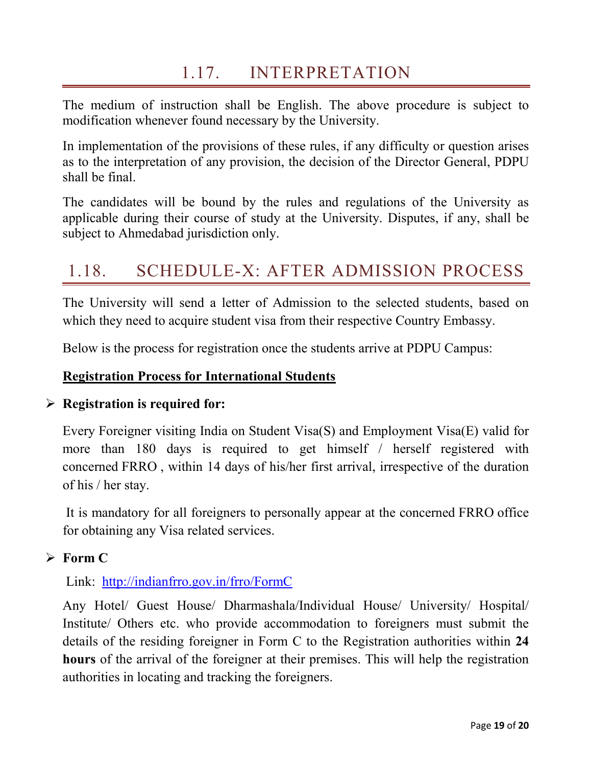# 1.17. INTERPRETATION

The medium of instruction shall be English. The above procedure is subject to modification whenever found necessary by the University.

In implementation of the provisions of these rules, if any difficulty or question arises as to the interpretation of any provision, the decision of the Director General, PDPU shall be final.

The candidates will be bound by the rules and regulations of the University as applicable during their course of study at the University. Disputes, if any, shall be subject to Ahmedabad jurisdiction only.

# 1.18. SCHEDULE-X: AFTER ADMISSION PROCESS

The University will send a letter of Admission to the selected students, based on which they need to acquire student visa from their respective Country Embassy.

Below is the process for registration once the students arrive at PDPU Campus:

#### **Registration Process for International Students**

#### **Registration is required for:**

Every Foreigner visiting India on Student Visa(S) and Employment Visa(E) valid for more than 180 days is required to get himself / herself registered with concerned FRRO , within 14 days of his/her first arrival, irrespective of the duration of his / her stay.

It is mandatory for all foreigners to personally appear at the concerned FRRO office for obtaining any Visa related services.

#### **Form C**

Link: <http://indianfrro.gov.in/frro/FormC>

Any Hotel/ Guest House/ Dharmashala/Individual House/ University/ Hospital/ Institute/ Others etc. who provide accommodation to foreigners must submit the details of the residing foreigner in Form C to the Registration authorities within **24 hours** of the arrival of the foreigner at their premises. This will help the registration authorities in locating and tracking the foreigners.